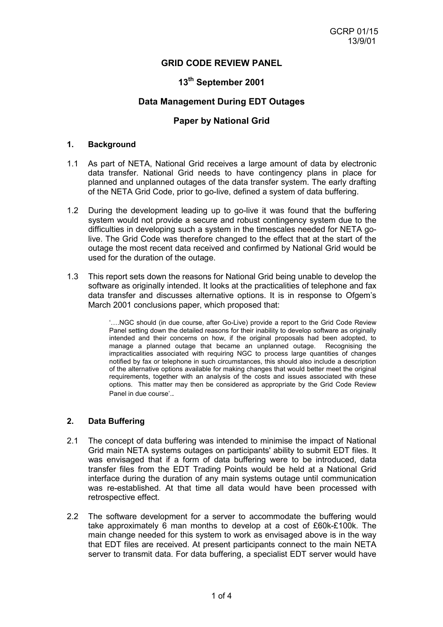# **GRID CODE REVIEW PANEL**

# **13th September 2001**

## **Data Management During EDT Outages**

## **Paper by National Grid**

#### **1. Background**

- 1.1 As part of NETA, National Grid receives a large amount of data by electronic data transfer. National Grid needs to have contingency plans in place for planned and unplanned outages of the data transfer system. The early drafting of the NETA Grid Code, prior to go-live, defined a system of data buffering.
- 1.2 During the development leading up to go-live it was found that the buffering system would not provide a secure and robust contingency system due to the difficulties in developing such a system in the timescales needed for NETA golive. The Grid Code was therefore changed to the effect that at the start of the outage the most recent data received and confirmed by National Grid would be used for the duration of the outage.
- 1.3 This report sets down the reasons for National Grid being unable to develop the software as originally intended. It looks at the practicalities of telephone and fax data transfer and discusses alternative options. It is in response to Ofgem's March 2001 conclusions paper, which proposed that:

'….NGC should (in due course, after Go-Live) provide a report to the Grid Code Review Panel setting down the detailed reasons for their inability to develop software as originally intended and their concerns on how, if the original proposals had been adopted, to manage a planned outage that became an unplanned outage. Recognising the impracticalities associated with requiring NGC to process large quantities of changes notified by fax or telephone in such circumstances, this should also include a description of the alternative options available for making changes that would better meet the original requirements, together with an analysis of the costs and issues associated with these options. This matter may then be considered as appropriate by the Grid Code Review Panel in due course'..

## **2. Data Buffering**

- 2.1 The concept of data buffering was intended to minimise the impact of National Grid main NETA systems outages on participants' ability to submit EDT files. It was envisaged that if a form of data buffering were to be introduced, data transfer files from the EDT Trading Points would be held at a National Grid interface during the duration of any main systems outage until communication was re-established. At that time all data would have been processed with retrospective effect.
- 2.2 The software development for a server to accommodate the buffering would take approximately 6 man months to develop at a cost of £60k-£100k. The main change needed for this system to work as envisaged above is in the way that EDT files are received. At present participants connect to the main NETA server to transmit data. For data buffering, a specialist EDT server would have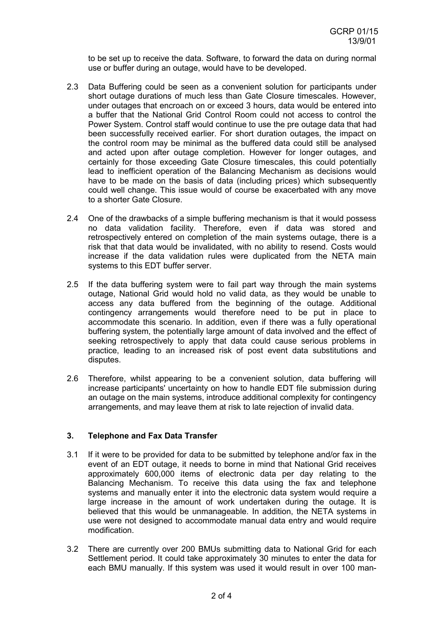to be set up to receive the data. Software, to forward the data on during normal use or buffer during an outage, would have to be developed.

- 2.3 Data Buffering could be seen as a convenient solution for participants under short outage durations of much less than Gate Closure timescales. However, under outages that encroach on or exceed 3 hours, data would be entered into a buffer that the National Grid Control Room could not access to control the Power System. Control staff would continue to use the pre outage data that had been successfully received earlier. For short duration outages, the impact on the control room may be minimal as the buffered data could still be analysed and acted upon after outage completion. However for longer outages, and certainly for those exceeding Gate Closure timescales, this could potentially lead to inefficient operation of the Balancing Mechanism as decisions would have to be made on the basis of data (including prices) which subsequently could well change. This issue would of course be exacerbated with any move to a shorter Gate Closure.
- 2.4 One of the drawbacks of a simple buffering mechanism is that it would possess no data validation facility. Therefore, even if data was stored and retrospectively entered on completion of the main systems outage, there is a risk that that data would be invalidated, with no ability to resend. Costs would increase if the data validation rules were duplicated from the NETA main systems to this EDT buffer server.
- 2.5 If the data buffering system were to fail part way through the main systems outage, National Grid would hold no valid data, as they would be unable to access any data buffered from the beginning of the outage. Additional contingency arrangements would therefore need to be put in place to accommodate this scenario. In addition, even if there was a fully operational buffering system, the potentially large amount of data involved and the effect of seeking retrospectively to apply that data could cause serious problems in practice, leading to an increased risk of post event data substitutions and disputes.
- 2.6 Therefore, whilst appearing to be a convenient solution, data buffering will increase participants' uncertainty on how to handle EDT file submission during an outage on the main systems, introduce additional complexity for contingency arrangements, and may leave them at risk to late rejection of invalid data.

### **3. Telephone and Fax Data Transfer**

- 3.1 If it were to be provided for data to be submitted by telephone and/or fax in the event of an EDT outage, it needs to borne in mind that National Grid receives approximately 600,000 items of electronic data per day relating to the Balancing Mechanism. To receive this data using the fax and telephone systems and manually enter it into the electronic data system would require a large increase in the amount of work undertaken during the outage. It is believed that this would be unmanageable. In addition, the NETA systems in use were not designed to accommodate manual data entry and would require modification.
- 3.2 There are currently over 200 BMUs submitting data to National Grid for each Settlement period. It could take approximately 30 minutes to enter the data for each BMU manually. If this system was used it would result in over 100 man-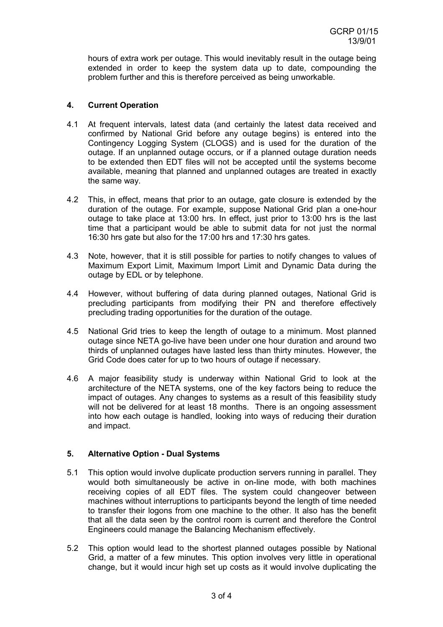hours of extra work per outage. This would inevitably result in the outage being extended in order to keep the system data up to date, compounding the problem further and this is therefore perceived as being unworkable.

### **4. Current Operation**

- 4.1 At frequent intervals, latest data (and certainly the latest data received and confirmed by National Grid before any outage begins) is entered into the Contingency Logging System (CLOGS) and is used for the duration of the outage. If an unplanned outage occurs, or if a planned outage duration needs to be extended then EDT files will not be accepted until the systems become available, meaning that planned and unplanned outages are treated in exactly the same way.
- 4.2 This, in effect, means that prior to an outage, gate closure is extended by the duration of the outage. For example, suppose National Grid plan a one-hour outage to take place at 13:00 hrs. In effect, just prior to 13:00 hrs is the last time that a participant would be able to submit data for not just the normal 16:30 hrs gate but also for the 17:00 hrs and 17:30 hrs gates.
- 4.3 Note, however, that it is still possible for parties to notify changes to values of Maximum Export Limit, Maximum Import Limit and Dynamic Data during the outage by EDL or by telephone.
- 4.4 However, without buffering of data during planned outages, National Grid is precluding participants from modifying their PN and therefore effectively precluding trading opportunities for the duration of the outage.
- 4.5 National Grid tries to keep the length of outage to a minimum. Most planned outage since NETA go-live have been under one hour duration and around two thirds of unplanned outages have lasted less than thirty minutes. However, the Grid Code does cater for up to two hours of outage if necessary.
- 4.6 A major feasibility study is underway within National Grid to look at the architecture of the NETA systems, one of the key factors being to reduce the impact of outages. Any changes to systems as a result of this feasibility study will not be delivered for at least 18 months. There is an ongoing assessment into how each outage is handled, looking into ways of reducing their duration and impact.

### **5. Alternative Option - Dual Systems**

- 5.1 This option would involve duplicate production servers running in parallel. They would both simultaneously be active in on-line mode, with both machines receiving copies of all EDT files. The system could changeover between machines without interruptions to participants beyond the length of time needed to transfer their logons from one machine to the other. It also has the benefit that all the data seen by the control room is current and therefore the Control Engineers could manage the Balancing Mechanism effectively.
- 5.2 This option would lead to the shortest planned outages possible by National Grid, a matter of a few minutes. This option involves very little in operational change, but it would incur high set up costs as it would involve duplicating the